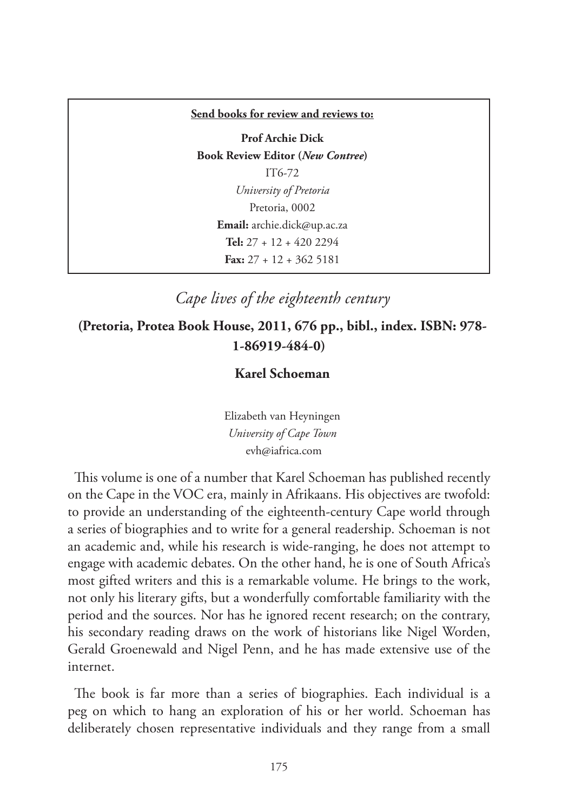#### **Send books for review and reviews to:**

**Prof Archie Dick Book Review Editor (***New Contree***)**  IT6-72 *University of Pretoria* Pretoria, 0002 **Email:** archie.dick@up.ac.za **Tel:** 27 + 12 + 420 2294 **Fax:** 27 + 12 + 362 5181

## *Cape lives of the eighteenth century*

## **(Pretoria, Protea Book House, 2011, 676 pp., bibl., index. ISBN: 978- 1-86919-484-0)**

### **Karel Schoeman**

Elizabeth van Heyningen *University of Cape Town* evh@iafrica.com

This volume is one of a number that Karel Schoeman has published recently on the Cape in the VOC era, mainly in Afrikaans. His objectives are twofold: to provide an understanding of the eighteenth-century Cape world through a series of biographies and to write for a general readership. Schoeman is not an academic and, while his research is wide-ranging, he does not attempt to engage with academic debates. On the other hand, he is one of South Africa's most gifted writers and this is a remarkable volume. He brings to the work, not only his literary gifts, but a wonderfully comfortable familiarity with the period and the sources. Nor has he ignored recent research; on the contrary, his secondary reading draws on the work of historians like Nigel Worden, Gerald Groenewald and Nigel Penn, and he has made extensive use of the internet.

The book is far more than a series of biographies. Each individual is a peg on which to hang an exploration of his or her world. Schoeman has deliberately chosen representative individuals and they range from a small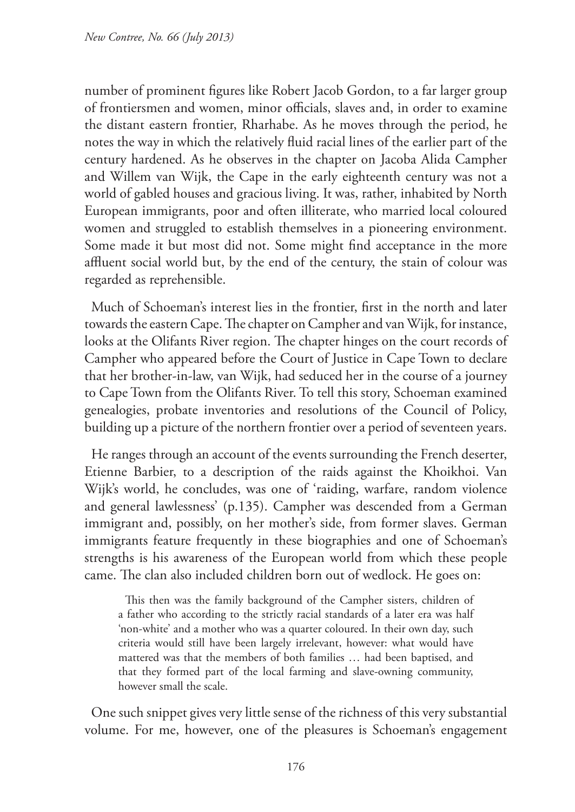number of prominent figures like Robert Jacob Gordon, to a far larger group of frontiersmen and women, minor officials, slaves and, in order to examine the distant eastern frontier, Rharhabe. As he moves through the period, he notes the way in which the relatively fluid racial lines of the earlier part of the century hardened. As he observes in the chapter on Jacoba Alida Campher and Willem van Wijk, the Cape in the early eighteenth century was not a world of gabled houses and gracious living. It was, rather, inhabited by North European immigrants, poor and often illiterate, who married local coloured women and struggled to establish themselves in a pioneering environment. Some made it but most did not. Some might find acceptance in the more affluent social world but, by the end of the century, the stain of colour was regarded as reprehensible.

Much of Schoeman's interest lies in the frontier, first in the north and later towards the eastern Cape. The chapter on Campher and van Wijk, for instance, looks at the Olifants River region. The chapter hinges on the court records of Campher who appeared before the Court of Justice in Cape Town to declare that her brother-in-law, van Wijk, had seduced her in the course of a journey to Cape Town from the Olifants River. To tell this story, Schoeman examined genealogies, probate inventories and resolutions of the Council of Policy, building up a picture of the northern frontier over a period of seventeen years.

He ranges through an account of the events surrounding the French deserter, Etienne Barbier, to a description of the raids against the Khoikhoi. Van Wijk's world, he concludes, was one of 'raiding, warfare, random violence and general lawlessness' (p.135). Campher was descended from a German immigrant and, possibly, on her mother's side, from former slaves. German immigrants feature frequently in these biographies and one of Schoeman's strengths is his awareness of the European world from which these people came. The clan also included children born out of wedlock. He goes on:

This then was the family background of the Campher sisters, children of a father who according to the strictly racial standards of a later era was half 'non-white' and a mother who was a quarter coloured. In their own day, such criteria would still have been largely irrelevant, however: what would have mattered was that the members of both families … had been baptised, and that they formed part of the local farming and slave-owning community, however small the scale.

One such snippet gives very little sense of the richness of this very substantial volume. For me, however, one of the pleasures is Schoeman's engagement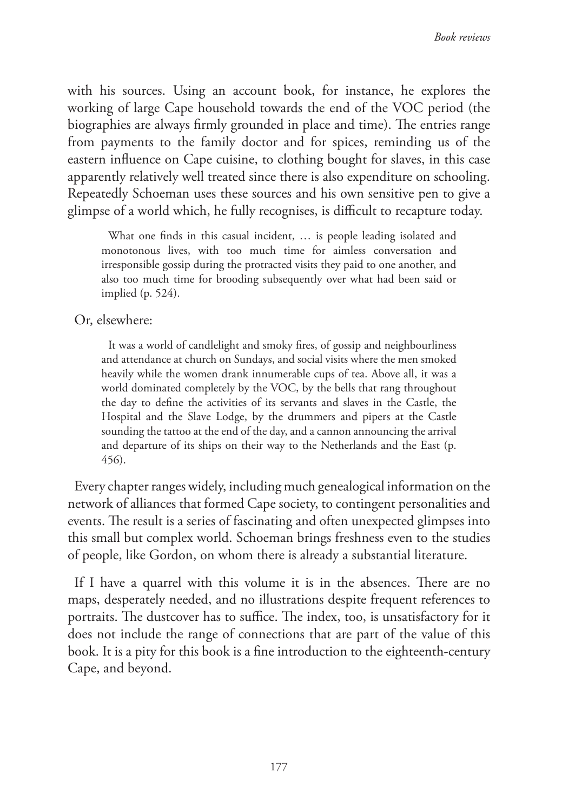with his sources. Using an account book, for instance, he explores the working of large Cape household towards the end of the VOC period (the biographies are always firmly grounded in place and time). The entries range from payments to the family doctor and for spices, reminding us of the eastern influence on Cape cuisine, to clothing bought for slaves, in this case apparently relatively well treated since there is also expenditure on schooling. Repeatedly Schoeman uses these sources and his own sensitive pen to give a glimpse of a world which, he fully recognises, is difficult to recapture today.

What one finds in this casual incident, ... is people leading isolated and monotonous lives, with too much time for aimless conversation and irresponsible gossip during the protracted visits they paid to one another, and also too much time for brooding subsequently over what had been said or implied (p. 524).

Or, elsewhere:

It was a world of candlelight and smoky fires, of gossip and neighbourliness and attendance at church on Sundays, and social visits where the men smoked heavily while the women drank innumerable cups of tea. Above all, it was a world dominated completely by the VOC, by the bells that rang throughout the day to define the activities of its servants and slaves in the Castle, the Hospital and the Slave Lodge, by the drummers and pipers at the Castle sounding the tattoo at the end of the day, and a cannon announcing the arrival and departure of its ships on their way to the Netherlands and the East (p. 456).

Every chapter ranges widely, including much genealogical information on the network of alliances that formed Cape society, to contingent personalities and events. The result is a series of fascinating and often unexpected glimpses into this small but complex world. Schoeman brings freshness even to the studies of people, like Gordon, on whom there is already a substantial literature.

If I have a quarrel with this volume it is in the absences. There are no maps, desperately needed, and no illustrations despite frequent references to portraits. The dustcover has to suffice. The index, too, is unsatisfactory for it does not include the range of connections that are part of the value of this book. It is a pity for this book is a fine introduction to the eighteenth-century Cape, and beyond.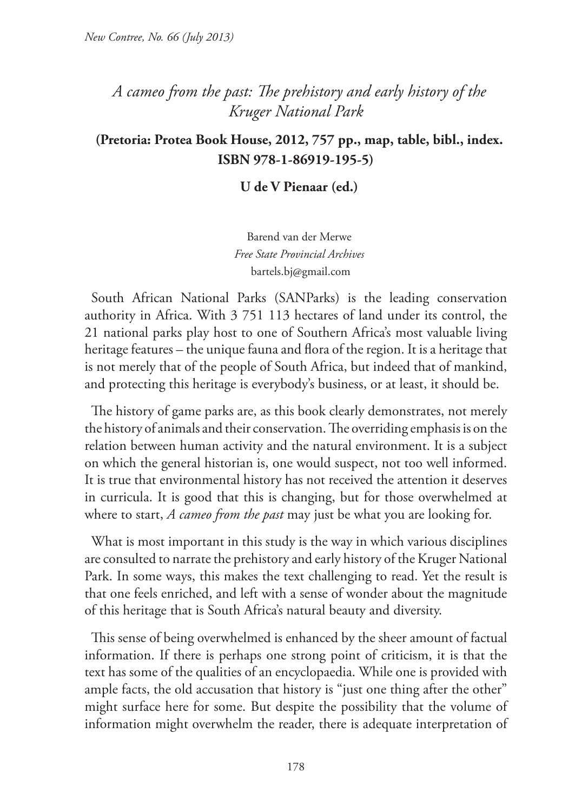# *A cameo from the past: The prehistory and early history of the Kruger National Park*

## **(Pretoria: Protea Book House, 2012, 757 pp., map, table, bibl., index. ISBN 978-1-86919-195-5)**

**U de V Pienaar (ed.)** 

Barend van der Merwe *Free State Provincial Archives* bartels.bj@gmail.com

South African National Parks (SANParks) is the leading conservation authority in Africa. With 3 751 113 hectares of land under its control, the 21 national parks play host to one of Southern Africa's most valuable living heritage features – the unique fauna and flora of the region. It is a heritage that is not merely that of the people of South Africa, but indeed that of mankind, and protecting this heritage is everybody's business, or at least, it should be.

The history of game parks are, as this book clearly demonstrates, not merely the history of animals and their conservation. The overriding emphasis is on the relation between human activity and the natural environment. It is a subject on which the general historian is, one would suspect, not too well informed. It is true that environmental history has not received the attention it deserves in curricula. It is good that this is changing, but for those overwhelmed at where to start, *A cameo from the past* may just be what you are looking for.

What is most important in this study is the way in which various disciplines are consulted to narrate the prehistory and early history of the Kruger National Park. In some ways, this makes the text challenging to read. Yet the result is that one feels enriched, and left with a sense of wonder about the magnitude of this heritage that is South Africa's natural beauty and diversity.

This sense of being overwhelmed is enhanced by the sheer amount of factual information. If there is perhaps one strong point of criticism, it is that the text has some of the qualities of an encyclopaedia. While one is provided with ample facts, the old accusation that history is "just one thing after the other" might surface here for some. But despite the possibility that the volume of information might overwhelm the reader, there is adequate interpretation of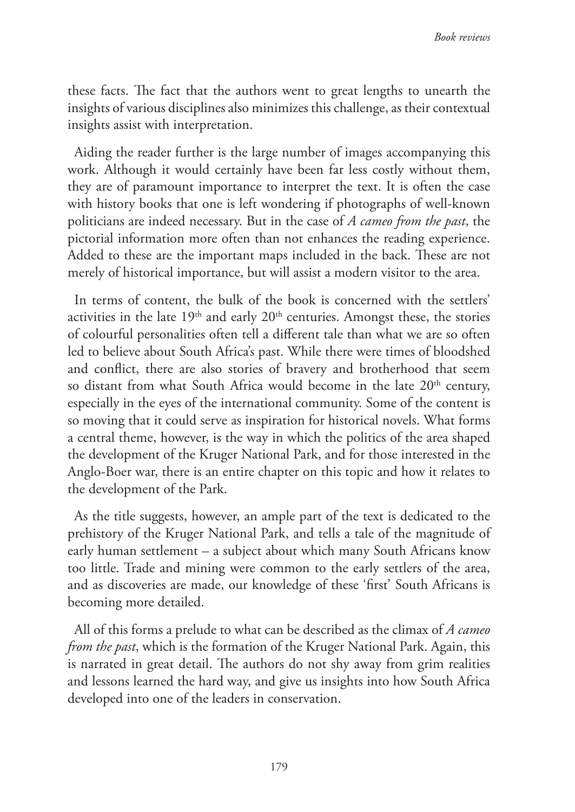these facts. The fact that the authors went to great lengths to unearth the insights of various disciplines also minimizes this challenge, as their contextual insights assist with interpretation.

Aiding the reader further is the large number of images accompanying this work. Although it would certainly have been far less costly without them, they are of paramount importance to interpret the text. It is often the case with history books that one is left wondering if photographs of well-known politicians are indeed necessary. But in the case of *A cameo from the past*, the pictorial information more often than not enhances the reading experience. Added to these are the important maps included in the back. These are not merely of historical importance, but will assist a modern visitor to the area.

In terms of content, the bulk of the book is concerned with the settlers' activities in the late  $19<sup>th</sup>$  and early  $20<sup>th</sup>$  centuries. Amongst these, the stories of colourful personalities often tell a different tale than what we are so often led to believe about South Africa's past. While there were times of bloodshed and conflict, there are also stories of bravery and brotherhood that seem so distant from what South Africa would become in the late  $20<sup>th</sup>$  century, especially in the eyes of the international community. Some of the content is so moving that it could serve as inspiration for historical novels. What forms a central theme, however, is the way in which the politics of the area shaped the development of the Kruger National Park, and for those interested in the Anglo-Boer war, there is an entire chapter on this topic and how it relates to the development of the Park.

As the title suggests, however, an ample part of the text is dedicated to the prehistory of the Kruger National Park, and tells a tale of the magnitude of early human settlement – a subject about which many South Africans know too little. Trade and mining were common to the early settlers of the area, and as discoveries are made, our knowledge of these 'first' South Africans is becoming more detailed.

All of this forms a prelude to what can be described as the climax of *A cameo from the past*, which is the formation of the Kruger National Park. Again, this is narrated in great detail. The authors do not shy away from grim realities and lessons learned the hard way, and give us insights into how South Africa developed into one of the leaders in conservation.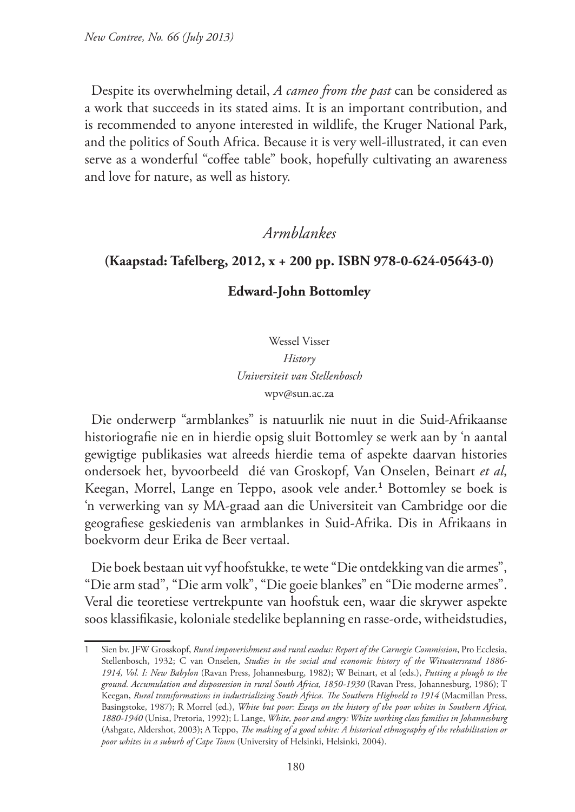Despite its overwhelming detail, *A cameo from the past* can be considered as a work that succeeds in its stated aims. It is an important contribution, and is recommended to anyone interested in wildlife, the Kruger National Park, and the politics of South Africa. Because it is very well-illustrated, it can even serve as a wonderful "coffee table" book, hopefully cultivating an awareness and love for nature, as well as history.

### *Armblankes*

#### **(Kaapstad: Tafelberg, 2012, x + 200 pp. ISBN 978-0-624-05643-0)**

#### **Edward-John Bottomley**

Wessel Visser *History Universiteit van Stellenbosch* wpv@sun.ac.za

Die onderwerp "armblankes" is natuurlik nie nuut in die Suid-Afrikaanse historiografie nie en in hierdie opsig sluit Bottomley se werk aan by 'n aantal gewigtige publikasies wat alreeds hierdie tema of aspekte daarvan histories ondersoek het, byvoorbeeld dié van Groskopf, Van Onselen, Beinart *et al*, Keegan, Morrel, Lange en Teppo, asook vele ander.<sup>1</sup> Bottomley se boek is 'n verwerking van sy MA-graad aan die Universiteit van Cambridge oor die geografiese geskiedenis van armblankes in Suid-Afrika. Dis in Afrikaans in boekvorm deur Erika de Beer vertaal.

Die boek bestaan uit vyf hoofstukke, te wete "Die ontdekking van die armes", "Die arm stad", "Die arm volk", "Die goeie blankes" en "Die moderne armes". Veral die teoretiese vertrekpunte van hoofstuk een, waar die skrywer aspekte soos klassifikasie, koloniale stedelike beplanning en rasse-orde, witheidstudies,

<sup>1</sup> Sien bv. JFW Grosskopf, *Rural impoverishment and rural exodus: Report of the Carnegie Commission*, Pro Ecclesia, Stellenbosch, 1932; C van Onselen, *Studies in the social and economic history of the Witwatersrand 1886- 1914, Vol. I: New Babylon* (Ravan Press, Johannesburg, 1982); W Beinart, et al (eds.), *Putting a plough to the ground. Accumulation and dispossession in rural South Africa, 1850-1930* (Ravan Press, Johannesburg, 1986); T Keegan, *Rural transformations in industrializing South Africa. The Southern Highveld to 1914* (Macmillan Press, Basingstoke, 1987); R Morrel (ed.), *White but poor: Essays on the history of the poor whites in Southern Africa, 1880-1940* (Unisa, Pretoria, 1992); L Lange, *White, poor and angry: White working class families in Johannesburg* (Ashgate, Aldershot, 2003); A Teppo, *The making of a good white: A historical ethnography of the rehabilitation or poor whites in a suburb of Cape Town* (University of Helsinki, Helsinki, 2004).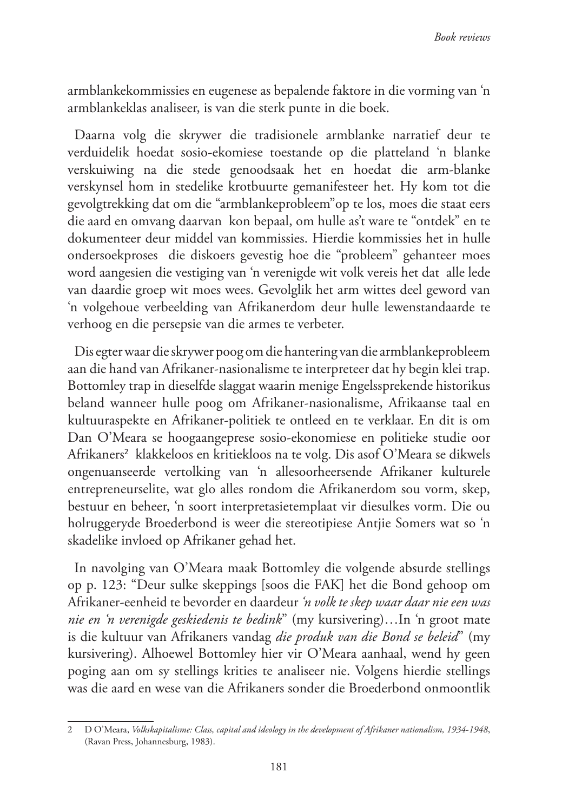armblankekommissies en eugenese as bepalende faktore in die vorming van 'n armblankeklas analiseer, is van die sterk punte in die boek.

Daarna volg die skrywer die tradisionele armblanke narratief deur te verduidelik hoedat sosio-ekomiese toestande op die platteland 'n blanke verskuiwing na die stede genoodsaak het en hoedat die arm-blanke verskynsel hom in stedelike krotbuurte gemanifesteer het. Hy kom tot die gevolgtrekking dat om die "armblankeprobleem"op te los, moes die staat eers die aard en omvang daarvan kon bepaal, om hulle as't ware te "ontdek" en te dokumenteer deur middel van kommissies. Hierdie kommissies het in hulle ondersoekproses die diskoers gevestig hoe die "probleem" gehanteer moes word aangesien die vestiging van 'n verenigde wit volk vereis het dat alle lede van daardie groep wit moes wees. Gevolglik het arm wittes deel geword van 'n volgehoue verbeelding van Afrikanerdom deur hulle lewenstandaarde te verhoog en die persepsie van die armes te verbeter.

Dis egter waar die skrywer poog om die hantering van die armblankeprobleem aan die hand van Afrikaner-nasionalisme te interpreteer dat hy begin klei trap. Bottomley trap in dieselfde slaggat waarin menige Engelssprekende historikus beland wanneer hulle poog om Afrikaner-nasionalisme, Afrikaanse taal en kultuuraspekte en Afrikaner-politiek te ontleed en te verklaar. En dit is om Dan O'Meara se hoogaangeprese sosio-ekonomiese en politieke studie oor Afrikaners<sup>2</sup> klakkeloos en kritiekloos na te volg. Dis asof O'Meara se dikwels ongenuanseerde vertolking van 'n allesoorheersende Afrikaner kulturele entrepreneurselite, wat glo alles rondom die Afrikanerdom sou vorm, skep, bestuur en beheer, 'n soort interpretasietemplaat vir diesulkes vorm. Die ou holruggeryde Broederbond is weer die stereotipiese Antjie Somers wat so 'n skadelike invloed op Afrikaner gehad het.

In navolging van O'Meara maak Bottomley die volgende absurde stellings op p. 123: "Deur sulke skeppings [soos die FAK] het die Bond gehoop om Afrikaner-eenheid te bevorder en daardeur *'n volk te skep waar daar nie een was nie en 'n verenigde geskiedenis te bedink*" (my kursivering)…In 'n groot mate is die kultuur van Afrikaners vandag *die produk van die Bond se beleid*" (my kursivering). Alhoewel Bottomley hier vir O'Meara aanhaal, wend hy geen poging aan om sy stellings krities te analiseer nie. Volgens hierdie stellings was die aard en wese van die Afrikaners sonder die Broederbond onmoontlik

<sup>2</sup> D O'Meara, *Volkskapitalisme: Class, capital and ideology in the development of Afrikaner nationalism, 1934-1948*, (Ravan Press, Johannesburg, 1983).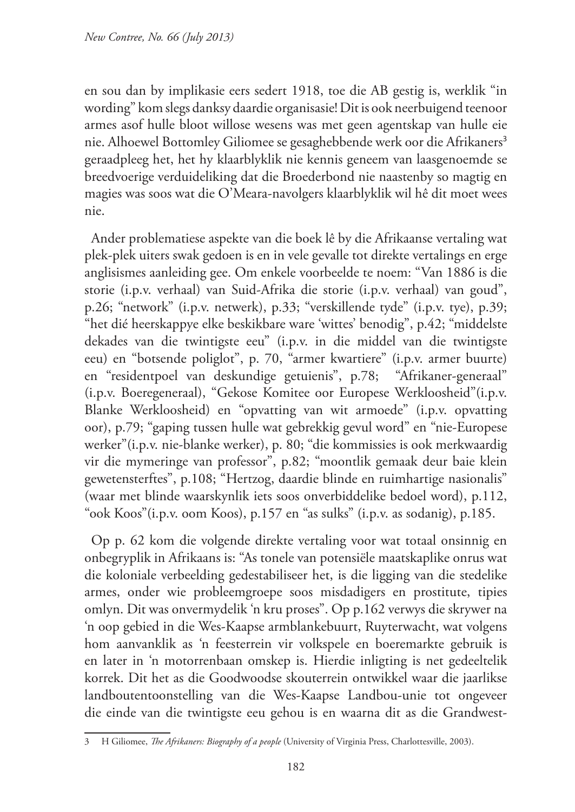en sou dan by implikasie eers sedert 1918, toe die AB gestig is, werklik "in wording" kom slegs danksy daardie organisasie! Dit is ook neerbuigend teenoor armes asof hulle bloot willose wesens was met geen agentskap van hulle eie nie. Alhoewel Bottomley Giliomee se gesaghebbende werk oor die Afrikaners<sup>3</sup> geraadpleeg het, het hy klaarblyklik nie kennis geneem van laasgenoemde se breedvoerige verduideliking dat die Broederbond nie naastenby so magtig en magies was soos wat die O'Meara-navolgers klaarblyklik wil hê dit moet wees nie.

Ander problematiese aspekte van die boek lê by die Afrikaanse vertaling wat plek-plek uiters swak gedoen is en in vele gevalle tot direkte vertalings en erge anglisismes aanleiding gee. Om enkele voorbeelde te noem: "Van 1886 is die storie (i.p.v. verhaal) van Suid-Afrika die storie (i.p.v. verhaal) van goud", p.26; "network" (i.p.v. netwerk), p.33; "verskillende tyde" (i.p.v. tye), p.39; "het dié heerskappye elke beskikbare ware 'wittes' benodig", p.42; "middelste dekades van die twintigste eeu" (i.p.v. in die middel van die twintigste eeu) en "botsende poliglot", p. 70, "armer kwartiere" (i.p.v. armer buurte) en "residentpoel van deskundige getuienis", p.78; "Afrikaner-generaal" (i.p.v. Boeregeneraal), "Gekose Komitee oor Europese Werkloosheid"(i.p.v. Blanke Werkloosheid) en "opvatting van wit armoede" (i.p.v. opvatting oor), p.79; "gaping tussen hulle wat gebrekkig gevul word" en "nie-Europese werker"(i.p.v. nie-blanke werker), p. 80; "die kommissies is ook merkwaardig vir die mymeringe van professor", p.82; "moontlik gemaak deur baie klein gewetensterftes", p.108; "Hertzog, daardie blinde en ruimhartige nasionalis" (waar met blinde waarskynlik iets soos onverbiddelike bedoel word), p.112, "ook Koos"(i.p.v. oom Koos), p.157 en "as sulks" (i.p.v. as sodanig), p.185.

Op p. 62 kom die volgende direkte vertaling voor wat totaal onsinnig en onbegryplik in Afrikaans is: "As tonele van potensiële maatskaplike onrus wat die koloniale verbeelding gedestabiliseer het, is die ligging van die stedelike armes, onder wie probleemgroepe soos misdadigers en prostitute, tipies omlyn. Dit was onvermydelik 'n kru proses". Op p.162 verwys die skrywer na 'n oop gebied in die Wes-Kaapse armblankebuurt, Ruyterwacht, wat volgens hom aanvanklik as 'n feesterrein vir volkspele en boeremarkte gebruik is en later in 'n motorrenbaan omskep is. Hierdie inligting is net gedeeltelik korrek. Dit het as die Goodwoodse skouterrein ontwikkel waar die jaarlikse landboutentoonstelling van die Wes-Kaapse Landbou-unie tot ongeveer die einde van die twintigste eeu gehou is en waarna dit as die Grandwest-

<sup>3</sup> H Giliomee, *The Afrikaners: Biography of a people* (University of Virginia Press, Charlottesville, 2003).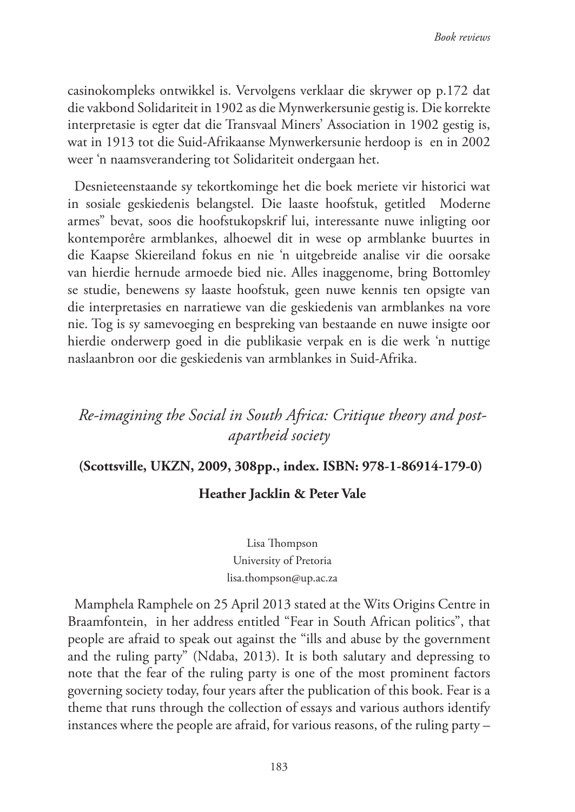casinokompleks ontwikkel is. Vervolgens verklaar die skrywer op p.172 dat die vakbond Solidariteit in 1902 as die Mynwerkersunie gestig is. Die korrekte interpretasie is egter dat die Transvaal Miners' Association in 1902 gestig is, wat in 1913 tot die Suid-Afrikaanse Mynwerkersunie herdoop is en in 2002 weer 'n naamsverandering tot Solidariteit ondergaan het.

Desnieteenstaande sy tekortkominge het die boek meriete vir historici wat in sosiale geskiedenis belangstel. Die laaste hoofstuk, getitled Moderne armes" bevat, soos die hoofstukopskrif lui, interessante nuwe inligting oor kontemporêre armblankes, alhoewel dit in wese op armblanke buurtes in die Kaapse Skiereiland fokus en nie 'n uitgebreide analise vir die oorsake van hierdie hernude armoede bied nie. Alles inaggenome, bring Bottomley se studie, benewens sy laaste hoofstuk, geen nuwe kennis ten opsigte van die interpretasies en narratiewe van die geskiedenis van armblankes na vore nie. Tog is sy samevoeging en bespreking van bestaande en nuwe insigte oor hierdie onderwerp goed in die publikasie verpak en is die werk 'n nuttige naslaanbron oor die geskiedenis van armblankes in Suid-Afrika.

## *Re-imagining the Social in South Africa: Critique theory and postapartheid society*

#### **(Scottsville, UKZN, 2009, 308pp., index. ISBN: 978-1-86914-179-0)**

#### **Heather Jacklin & Peter Vale**

Lisa Thompson University of Pretoria lisa.thompson@up.ac.za

Mamphela Ramphele on 25 April 2013 stated at the Wits Origins Centre in Braamfontein, in her address entitled "Fear in South African politics", that people are afraid to speak out against the "ills and abuse by the government and the ruling party" (Ndaba, 2013). It is both salutary and depressing to note that the fear of the ruling party is one of the most prominent factors governing society today, four years after the publication of this book. Fear is a theme that runs through the collection of essays and various authors identify instances where the people are afraid, for various reasons, of the ruling party –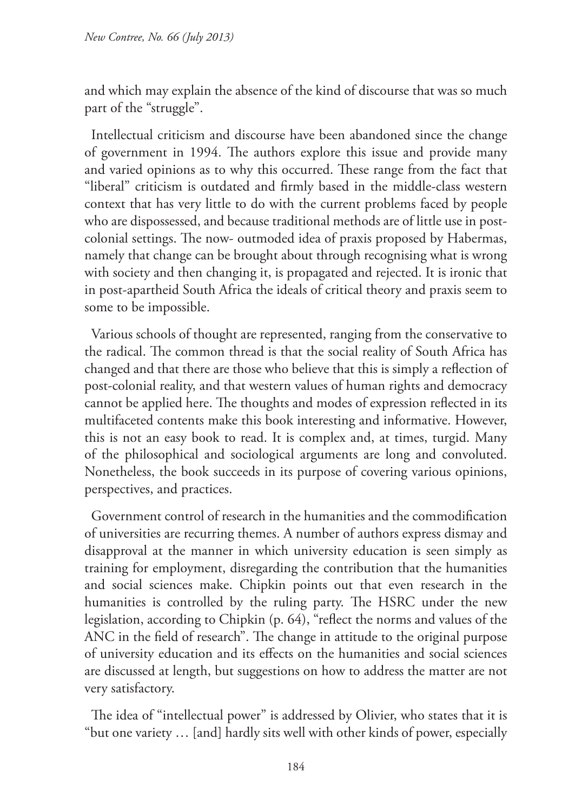and which may explain the absence of the kind of discourse that was so much part of the "struggle".

Intellectual criticism and discourse have been abandoned since the change of government in 1994. The authors explore this issue and provide many and varied opinions as to why this occurred. These range from the fact that "liberal" criticism is outdated and firmly based in the middle-class western context that has very little to do with the current problems faced by people who are dispossessed, and because traditional methods are of little use in postcolonial settings. The now- outmoded idea of praxis proposed by Habermas, namely that change can be brought about through recognising what is wrong with society and then changing it, is propagated and rejected. It is ironic that in post-apartheid South Africa the ideals of critical theory and praxis seem to some to be impossible.

Various schools of thought are represented, ranging from the conservative to the radical. The common thread is that the social reality of South Africa has changed and that there are those who believe that this is simply a reflection of post-colonial reality, and that western values of human rights and democracy cannot be applied here. The thoughts and modes of expression reflected in its multifaceted contents make this book interesting and informative. However, this is not an easy book to read. It is complex and, at times, turgid. Many of the philosophical and sociological arguments are long and convoluted. Nonetheless, the book succeeds in its purpose of covering various opinions, perspectives, and practices.

Government control of research in the humanities and the commodification of universities are recurring themes. A number of authors express dismay and disapproval at the manner in which university education is seen simply as training for employment, disregarding the contribution that the humanities and social sciences make. Chipkin points out that even research in the humanities is controlled by the ruling party. The HSRC under the new legislation, according to Chipkin (p. 64), "reflect the norms and values of the ANC in the field of research". The change in attitude to the original purpose of university education and its effects on the humanities and social sciences are discussed at length, but suggestions on how to address the matter are not very satisfactory.

The idea of "intellectual power" is addressed by Olivier, who states that it is "but one variety … [and] hardly sits well with other kinds of power, especially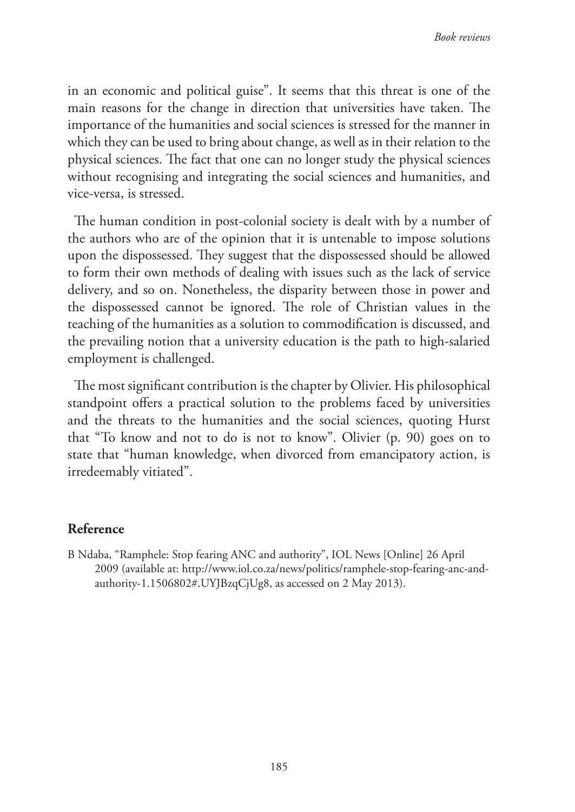in an economic and political guise". It seems that this threat is one of the main reasons for the change in direction that universities have taken. The importance of the humanities and social sciences is stressed for the manner in which they can be used to bring about change, as well as in their relation to the physical sciences. The fact that one can no longer study the physical sciences without recognising and integrating the social sciences and humanities, and vice-versa, is stressed.

The human condition in post-colonial society is dealt with by a number of the authors who are of the opinion that it is untenable to impose solutions upon the dispossessed. They suggest that the dispossessed should be allowed to form their own methods of dealing with issues such as the lack of service delivery, and so on. Nonetheless, the disparity between those in power and the dispossessed cannot be ignored. The role of Christian values in the teaching of the humanities as a solution to commodification is discussed, and the prevailing notion that a university education is the path to high-salaried employment is challenged.

The most significant contribution is the chapter by Olivier. His philosophical standpoint offers a practical solution to the problems faced by universities and the threats to the humanities and the social sciences, quoting Hurst that "To know and not to do is not to know". Olivier (p. 90) goes on to state that "human knowledge, when divorced from emancipatory action, is irredeemably vitiated".

#### **Reference**

B Ndaba, "Ramphele: Stop fearing ANC and authority", IOL News [Online] 26 April 2009 (available at: http://www.iol.co.za/news/politics/ramphele-stop-fearing-anc-andauthority-1.1506802#.UYJBzqCjUg8, as accessed on 2 May 2013).